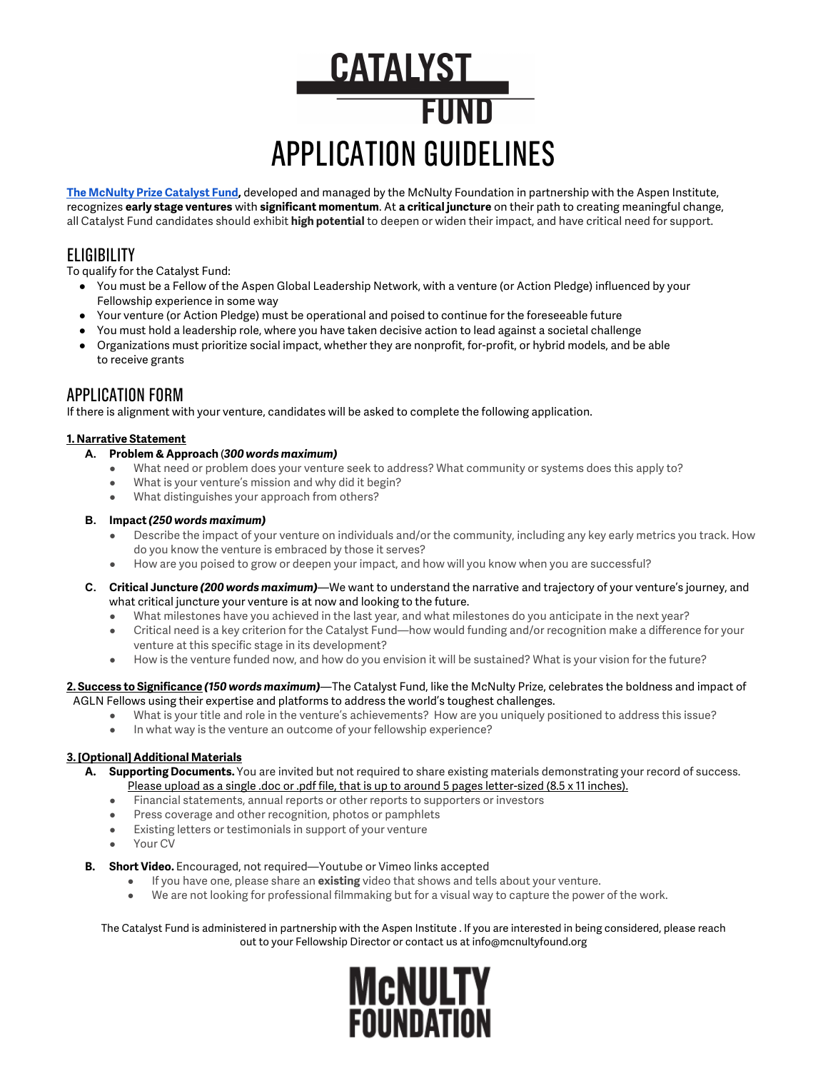# **CATALYST** FUND APPLICATION GUIDELINES

**The [McNulty Prize Catalyst Fund,](http://mcnultyfound.org/catalyst-fund)** developed and managed by the McNulty Foundation in partnership with the Aspen Institute, recognizes **early stage ventures** with **significant momentum**. At **a critical juncture** on their path to creating meaningful change, all Catalyst Fund candidates should exhibit **high potential** to deepen or widen their impact, and have critical need for support.

## **ELIGIBILITY**

To qualify for the Catalyst Fund:

- You must be a Fellow of the Aspen Global Leadership Network, with a venture (or Action Pledge) influenced by your Fellowship experience in some way
- Your venture (or Action Pledge) must be operational and poised to continue for the foreseeable future
- You must hold a leadership role, where you have taken decisive action to lead against a societal challenge
- Organizations must prioritize social impact, whether they are nonprofit, for-profit, or hybrid models, and be able to receive grants

### APPLICATION FORM

If there is alignment with your venture, candidates will be asked to complete the following application.

#### **1. Narrative Statement**

- **A. Problem & Approach** (*300 words maximum)*
	- What need or problem does your venture seek to address? What community or systems does this apply to?
	- What is your venture's mission and why did it begin?
	- What distinguishes your approach from others?

#### **B. Impact** *(250 words maximum)*

- Describe the impact of your venture on individuals and/or the community, including any key early metrics you track. How do you know the venture is embraced by those it serves?
- How are you poised to grow or deepen your impact, and how will you know when you are successful?
- **C. Critical Juncture** *(200 words maximum)*—We want to understand the narrative and trajectory of your venture's journey, and what critical juncture your venture is at now and looking to the future.
	- What milestones have you achieved in the last year, and what milestones do you anticipate in the next year?
	- Critical need is a key criterion for the Catalyst Fund—how would funding and/or recognition make a difference for your venture at this specific stage in its development?
	- How is the venture funded now, and how do you envision it will be sustained? What is your vision for the future?

#### **2. Success to Significance** *(150 words maximum)*—The Catalyst Fund, like the McNulty Prize, celebrates the boldness and impact of AGLN Fellows using their expertise and platforms to address the world's toughest challenges.

- What is your title and role in the venture's achievements? How are you uniquely positioned to address this issue?
- In what way is the venture an outcome of your fellowship experience?

#### **3. [Optional] Additional Materials**

- **A. Supporting Documents.** You are invited but not required to share existing materials demonstrating your record of success. Please upload as a single .doc or .pdf file, that is up to around 5 pages letter-sized (8.5 x 11 inches).
	- Financial statements, annual reports or other reports to supporters or investors
	- Press coverage and other recognition, photos or pamphlets
	- Existing letters or testimonials in support of your venture
	- Your CV

#### **B. Short Video.** Encouraged, not required—Youtube or Vimeo links accepted

- If you have one, please share an **existing** video that shows and tells about your venture.
- We are not looking for professional filmmaking but for a visual way to capture the power of the work.

#### The Catalyst Fund is administered in partnership with the Aspen Institute . If you are interested in being considered, please reach out to your Fellowship Director or contact us at info@mcnultyfound.org